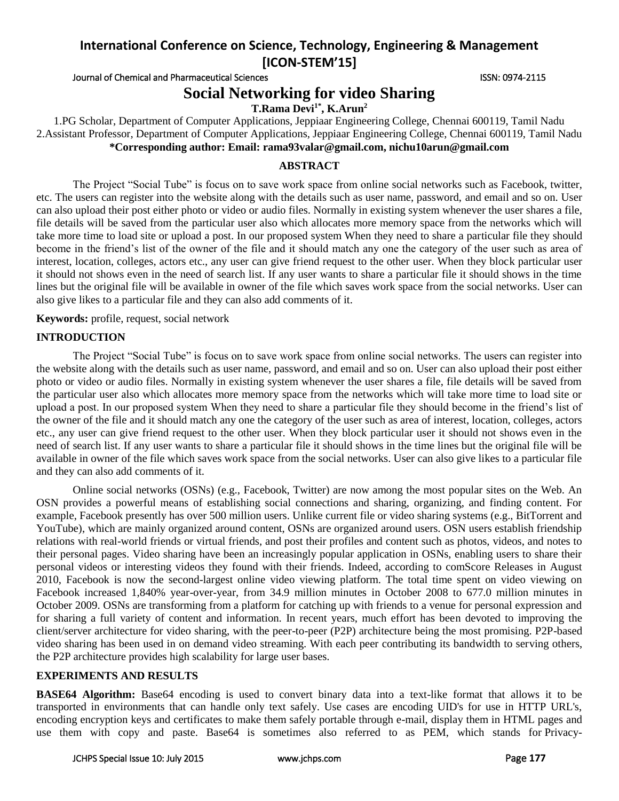# **International Conference on Science, Technology, Engineering & Management [ICON-STEM'15]**

Journal of Chemical and Pharmaceutical Sciences **ISSN: 0974-2115** ISSN: 0974-2115

# **Social Networking for video Sharing**

**T.Rama Devi1\* , K.Arun<sup>2</sup>**

1.PG Scholar, Department of Computer Applications, Jeppiaar Engineering College, Chennai 600119, Tamil Nadu 2.Assistant Professor, Department of Computer Applications, Jeppiaar Engineering College, Chennai 600119, Tamil Nadu **\*Corresponding author: Email: rama93valar@gmail.com, nichu10arun@gmail.com**

## **ABSTRACT**

The Project "Social Tube" is focus on to save work space from online social networks such as Facebook, twitter, etc. The users can register into the website along with the details such as user name, password, and email and so on. User can also upload their post either photo or video or audio files. Normally in existing system whenever the user shares a file, file details will be saved from the particular user also which allocates more memory space from the networks which will take more time to load site or upload a post. In our proposed system When they need to share a particular file they should become in the friend's list of the owner of the file and it should match any one the category of the user such as area of interest, location, colleges, actors etc., any user can give friend request to the other user. When they block particular user it should not shows even in the need of search list. If any user wants to share a particular file it should shows in the time lines but the original file will be available in owner of the file which saves work space from the social networks. User can also give likes to a particular file and they can also add comments of it.

**Keywords:** profile, request, social network

# **INTRODUCTION**

The Project "Social Tube" is focus on to save work space from online social networks. The users can register into the website along with the details such as user name, password, and email and so on. User can also upload their post either photo or video or audio files. Normally in existing system whenever the user shares a file, file details will be saved from the particular user also which allocates more memory space from the networks which will take more time to load site or upload a post. In our proposed system When they need to share a particular file they should become in the friend's list of the owner of the file and it should match any one the category of the user such as area of interest, location, colleges, actors etc., any user can give friend request to the other user. When they block particular user it should not shows even in the need of search list. If any user wants to share a particular file it should shows in the time lines but the original file will be available in owner of the file which saves work space from the social networks. User can also give likes to a particular file and they can also add comments of it.

Online social networks (OSNs) (e.g., Facebook, Twitter) are now among the most popular sites on the Web. An OSN provides a powerful means of establishing social connections and sharing, organizing, and finding content. For example, Facebook presently has over 500 million users. Unlike current file or video sharing systems (e.g., BitTorrent and YouTube), which are mainly organized around content, OSNs are organized around users. OSN users establish friendship relations with real-world friends or virtual friends, and post their profiles and content such as photos, videos, and notes to their personal pages. Video sharing have been an increasingly popular application in OSNs, enabling users to share their personal videos or interesting videos they found with their friends. Indeed, according to comScore Releases in August 2010, Facebook is now the second-largest online video viewing platform. The total time spent on video viewing on Facebook increased 1,840% year-over-year, from 34.9 million minutes in October 2008 to 677.0 million minutes in October 2009. OSNs are transforming from a platform for catching up with friends to a venue for personal expression and for sharing a full variety of content and information. In recent years, much effort has been devoted to improving the client/server architecture for video sharing, with the peer-to-peer (P2P) architecture being the most promising. P2P-based video sharing has been used in on demand video streaming. With each peer contributing its bandwidth to serving others, the P2P architecture provides high scalability for large user bases.

## **EXPERIMENTS AND RESULTS**

**BASE64 Algorithm:** Base64 encoding is used to convert binary data into a text-like format that allows it to be transported in environments that can handle only text safely. Use cases are encoding UID's for use in HTTP URL's, encoding encryption keys and certificates to make them safely portable through e-mail, display them in HTML pages and use them with copy and paste. Base64 is sometimes also referred to as PEM, which stands for Privacy-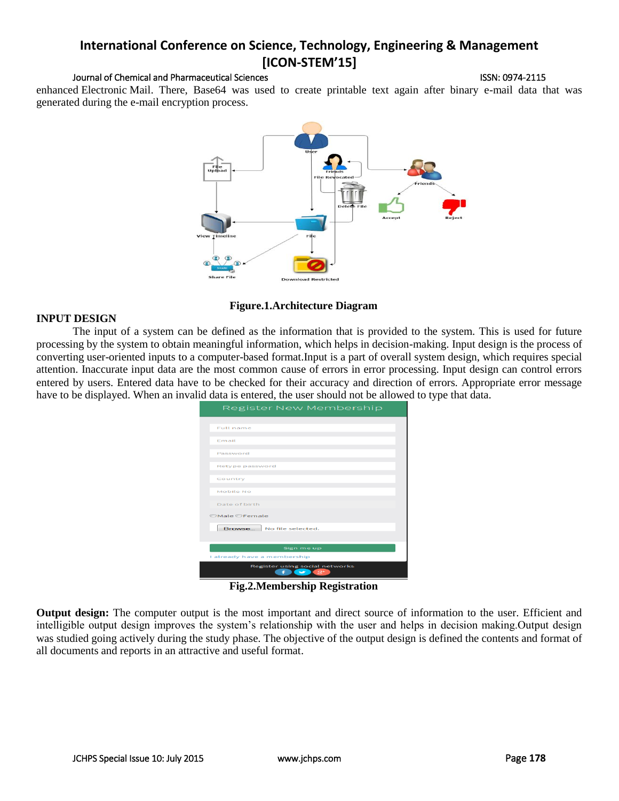# **International Conference on Science, Technology, Engineering & Management [ICON-STEM'15]**

#### Journal of Chemical and Pharmaceutical Sciences ISSN: 0974-2115

enhanced Electronic Mail. There, Base64 was used to create printable text again after binary e-mail data that was generated during the e-mail encryption process.



### **Figure.1.Architecture Diagram**

#### **INPUT DESIGN**

The input of a system can be defined as the information that is provided to the system. This is used for future processing by the system to obtain meaningful information, which helps in decision-making. Input design is the process of converting user-oriented inputs to a computer-based format.Input is a part of overall system design, which requires special attention. Inaccurate input data are the most common cause of errors in error processing. Input design can control errors entered by users. Entered data have to be checked for their accuracy and direction of errors. Appropriate error message have to be displayed. When an invalid data is entered, the user should not be allowed to type that data.

| Register New Membership                                           |
|-------------------------------------------------------------------|
|                                                                   |
| <b>Full name</b>                                                  |
| Email                                                             |
| Password                                                          |
| Retype password                                                   |
| Country                                                           |
| Mobile No                                                         |
| Date of birth                                                     |
| ©Male ©Female                                                     |
| Browse<br>No file selected.                                       |
| Sign me up                                                        |
| I already have a membership                                       |
| Register using social networks<br>sz+<br>$\overline{\phantom{a}}$ |

**Fig.2.Membership Registration**

**Output design:** The computer output is the most important and direct source of information to the user. Efficient and intelligible output design improves the system's relationship with the user and helps in decision making.Output design was studied going actively during the study phase. The objective of the output design is defined the contents and format of all documents and reports in an attractive and useful format.